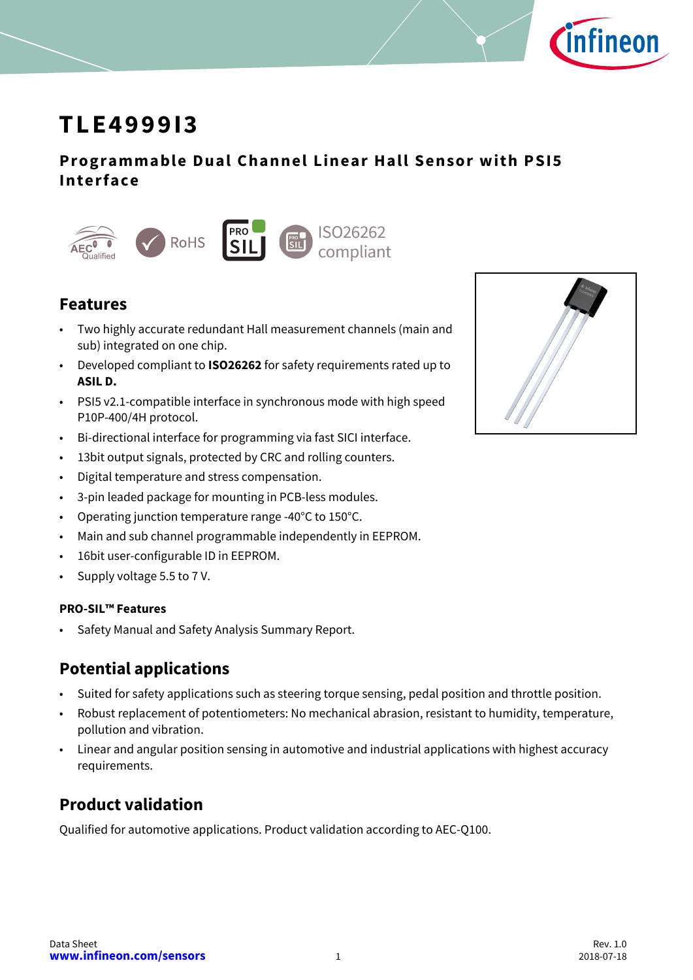

# **TLE4999I3**

### **Programmable Dual Channel Linear Hall Sensor with PSI5 Interface**



### **Features**

- Two highly accurate redundant Hall measurement channels (main and sub) integrated on one chip.
- Developed compliant to **ISO26262** for safety requirements rated up to **ASIL D.**
- PSI5 v2.1-compatible interface in synchronous mode with high speed P10P-400/4H protocol.
- Bi-directional interface for programming via fast SICI interface.
- 13bit output signals, protected by CRC and rolling counters.
- Digital temperature and stress compensation.
- 3-pin leaded package for mounting in PCB-less modules.
- Operating junction temperature range -40°C to 150°C.
- Main and sub channel programmable independently in EEPROM.
- 16bit user-configurable ID in EEPROM.
- Supply voltage 5.5 to 7 V.

#### **PRO-SIL™ Features**

• Safety Manual and Safety Analysis Summary Report.

### **Potential applications**

- Suited for safety applications such as steering torque sensing, pedal position and throttle position.
- Robust replacement of potentiometers: No mechanical abrasion, resistant to humidity, temperature, pollution and vibration.
- Linear and angular position sensing in automotive and industrial applications with highest accuracy requirements.

## **Product validation**

Qualified for automotive applications. Product validation according to AEC-Q100.

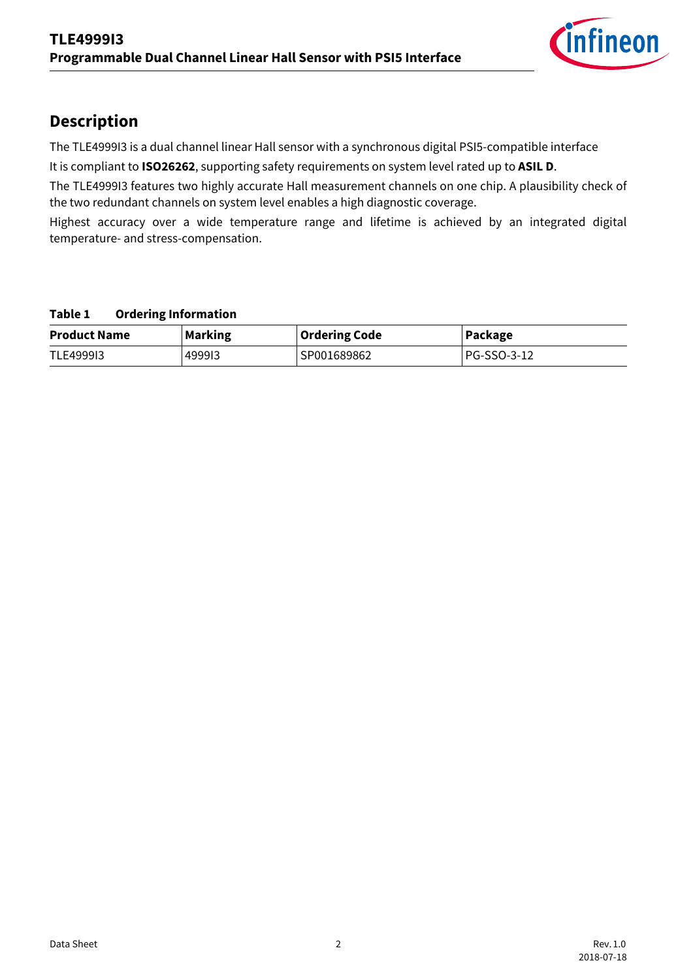

## **Description**

The TLE4999I3 is a dual channel linear Hall sensor with a synchronous digital PSI5-compatible interface

It is compliant to **ISO26262**, supporting safety requirements on system level rated up to **ASIL D**.

The TLE4999I3 features two highly accurate Hall measurement channels on one chip. A plausibility check of the two redundant channels on system level enables a high diagnostic coverage.

Highest accuracy over a wide temperature range and lifetime is achieved by an integrated digital temperature- and stress-compensation.

#### **Table 1 Ordering Information**

| <b>Product Name</b> | <b>Marking</b> | <b>Ordering Code</b> | Package     |  |  |
|---------------------|----------------|----------------------|-------------|--|--|
| TLE499913           | 499913         | SP001689862          | PG-SSO-3-12 |  |  |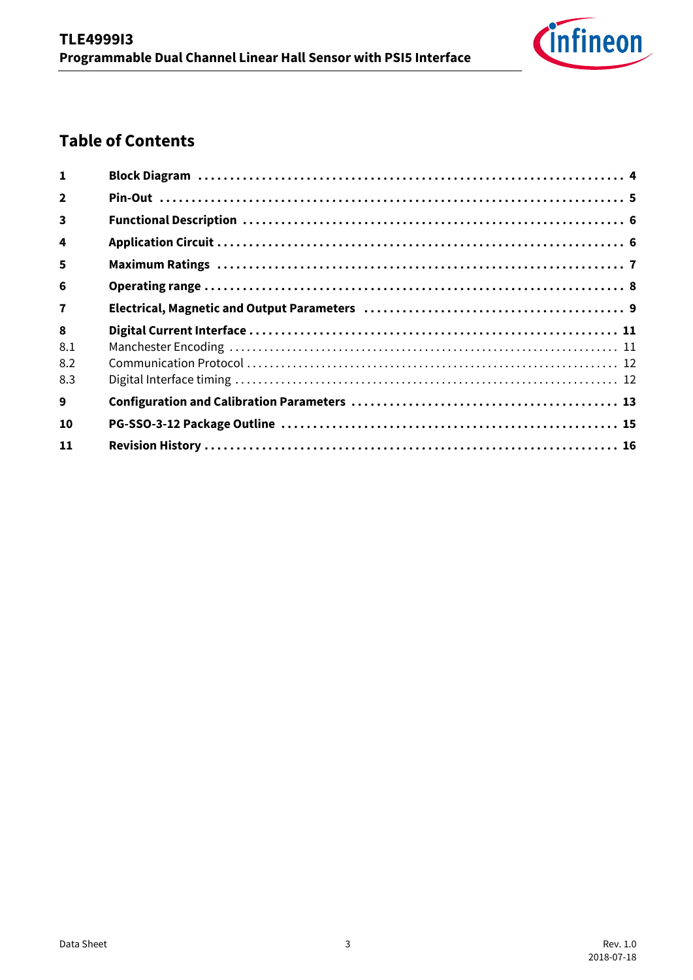

## **Table of Contents**

| $\mathbf{1}$            |  |
|-------------------------|--|
| $\overline{2}$          |  |
| $\overline{\mathbf{3}}$ |  |
| 4                       |  |
| 5                       |  |
| 6                       |  |
| $\overline{\mathbf{z}}$ |  |
| 8<br>8.1<br>8.2<br>8.3  |  |
| 9                       |  |
| 10                      |  |
| 11                      |  |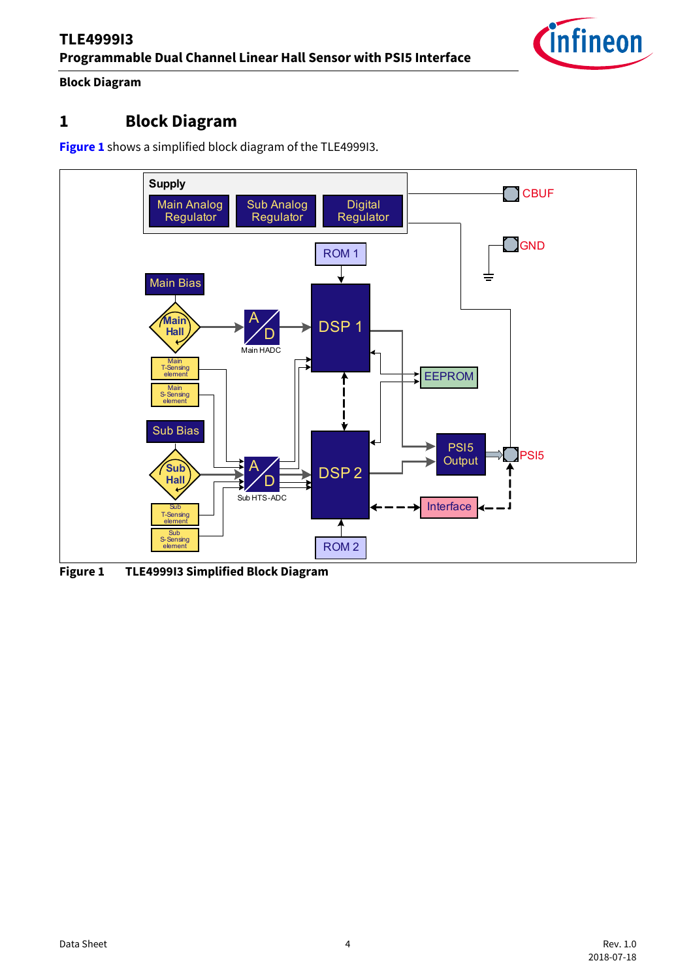### **Block Diagram**

### <span id="page-3-0"></span>**1 Block Diagram**

**[Figure 1](#page-3-1)** shows a simplified block diagram of the TLE4999I3.



<span id="page-3-1"></span>**Figure 1 TLE4999I3 Simplified Block Diagram**

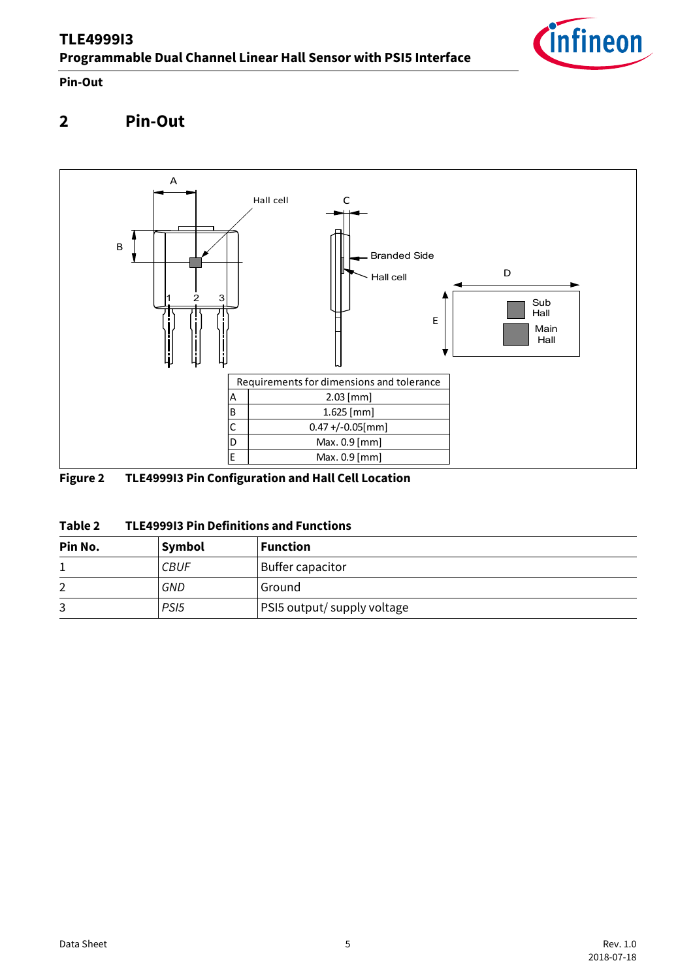

**Pin-Out**

## <span id="page-4-0"></span>**2 Pin-Out**



### **Figure 2 TLE4999I3 Pin Configuration and Hall Cell Location**

| Table 2 | <b>TLE4999I3 Pin Definitions and Functions</b> |
|---------|------------------------------------------------|
|---------|------------------------------------------------|

| Pin No. | Symbol           | <b>Function</b>             |
|---------|------------------|-----------------------------|
|         | <b>CBUF</b>      | Buffer capacitor            |
| ົ       | GND              | Ground                      |
| 3       | PS <sub>15</sub> | PSI5 output/ supply voltage |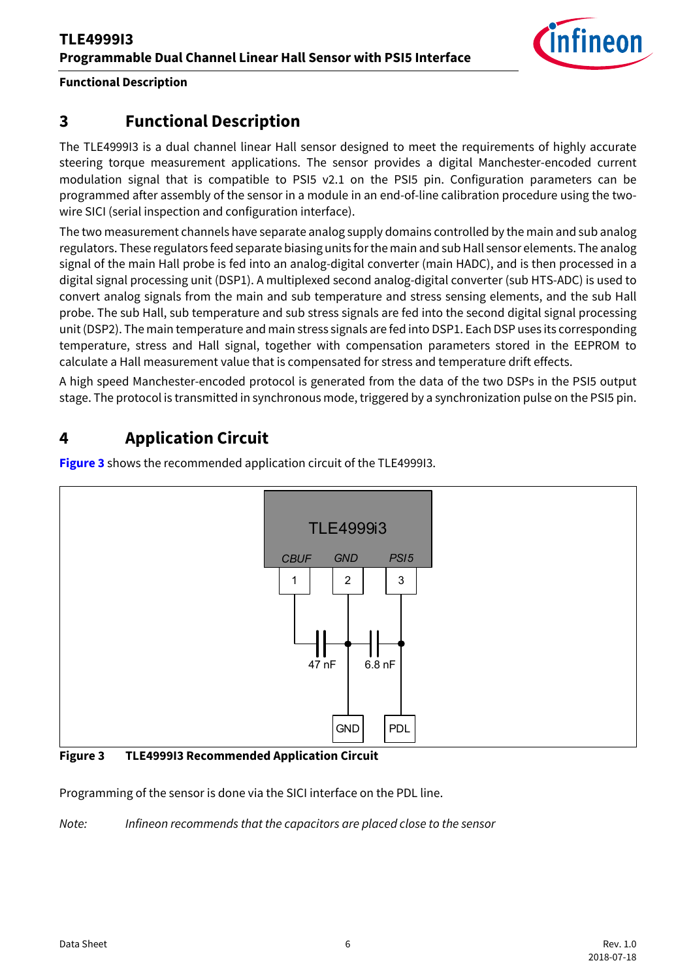

### **Functional Description**

### <span id="page-5-0"></span>**3 Functional Description**

The TLE4999I3 is a dual channel linear Hall sensor designed to meet the requirements of highly accurate steering torque measurement applications. The sensor provides a digital Manchester-encoded current modulation signal that is compatible to PSI5 v2.1 on the PSI5 pin. Configuration parameters can be programmed after assembly of the sensor in a module in an end-of-line calibration procedure using the twowire SICI (serial inspection and configuration interface).

The two measurement channels have separate analog supply domains controlled by the main and sub analog regulators. These regulators feed separate biasing units for the main and sub Hall sensor elements. The analog signal of the main Hall probe is fed into an analog-digital converter (main HADC), and is then processed in a digital signal processing unit (DSP1). A multiplexed second analog-digital converter (sub HTS-ADC) is used to convert analog signals from the main and sub temperature and stress sensing elements, and the sub Hall probe. The sub Hall, sub temperature and sub stress signals are fed into the second digital signal processing unit (DSP2). The main temperature and main stress signals are fed into DSP1. Each DSP uses its corresponding temperature, stress and Hall signal, together with compensation parameters stored in the EEPROM to calculate a Hall measurement value that is compensated for stress and temperature drift effects.

A high speed Manchester-encoded protocol is generated from the data of the two DSPs in the PSI5 output stage. The protocol is transmitted in synchronous mode, triggered by a synchronization pulse on the PSI5 pin.

## <span id="page-5-1"></span>**4 Application Circuit**

**[Figure 3](#page-5-2)** shows the recommended application circuit of the TLE4999I3.



<span id="page-5-2"></span>**Figure 3 TLE4999I3 Recommended Application Circuit**

Programming of the sensor is done via the SICI interface on the PDL line.

*Note: Infineon recommends that the capacitors are placed close to the sensor*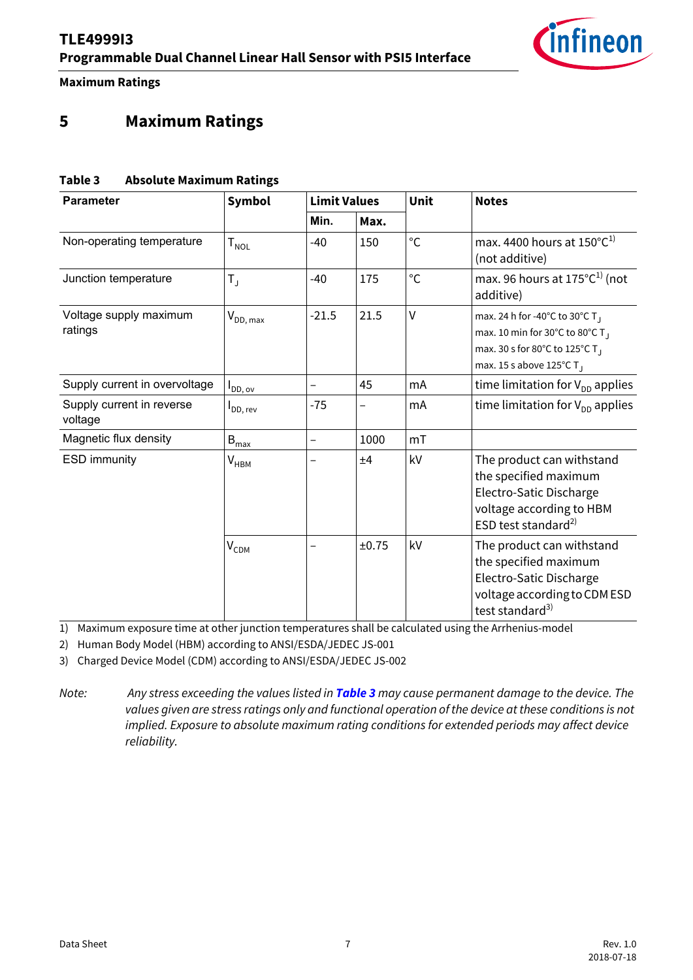<span id="page-6-1"></span>

**Maximum Ratings**

### <span id="page-6-0"></span>**5 Maximum Ratings**

#### <span id="page-6-2"></span>**Table 3 Absolute Maximum Ratings**

| <b>Parameter</b>                     | Symbol                                                   | <b>Limit Values</b>      |                          | Unit         | <b>Notes</b>                                                                                                                                                     |  |
|--------------------------------------|----------------------------------------------------------|--------------------------|--------------------------|--------------|------------------------------------------------------------------------------------------------------------------------------------------------------------------|--|
|                                      |                                                          | Min.                     | Max.                     |              |                                                                                                                                                                  |  |
| Non-operating temperature            | $\mathsf{T}_{\mathsf{NOL}}$                              | $-40$                    | 150                      | $^{\circ}$ C | max. 4400 hours at $150^{\circ}C^{1}$<br>(not additive)                                                                                                          |  |
| Junction temperature                 | $^{\circ}$ C<br>$-40$<br>175<br>$T_{\rm J}$<br>additive) |                          |                          |              | max. 96 hours at $175^{\circ}C^{1}$ (not                                                                                                                         |  |
| Voltage supply maximum<br>ratings    | $V_{DD, max}$                                            | $-21.5$                  | 21.5                     | $\vee$       | max. 24 h for -40°C to 30°C T<br>max. 10 min for 30°C to 80°C T <sub>1</sub><br>max. 30 s for 80°C to 125°C T<br>max. 15 s above 125 $^{\circ}$ C T <sub>J</sub> |  |
| Supply current in overvoltage        | $I_{DD, \, \text{ov}}$                                   | $\qquad \qquad -$        | 45                       | mA           | time limitation for $V_{DD}$ applies                                                                                                                             |  |
| Supply current in reverse<br>voltage | <b>I</b> DD, rev                                         | $-75$                    | $\overline{\phantom{0}}$ | mA           | time limitation for $V_{DD}$ applies                                                                                                                             |  |
| Magnetic flux density                | $B_{\text{max}}$                                         | $\overline{\phantom{0}}$ | 1000                     | mT           |                                                                                                                                                                  |  |
| <b>ESD</b> immunity                  | V <sub>нвм</sub>                                         |                          | ±4                       | kV           | The product can withstand<br>the specified maximum<br>Electro-Satic Discharge<br>voltage according to HBM<br>ESD test standard <sup>2)</sup>                     |  |
|                                      | $V_{CDM}$                                                |                          | ±0.75                    | kV           | The product can withstand<br>the specified maximum<br>Electro-Satic Discharge<br>voltage according to CDM ESD<br>test standard <sup>3)</sup>                     |  |

1) Maximum exposure time at other junction temperatures shall be calculated using the Arrhenius-model

2) Human Body Model (HBM) according to ANSI/ESDA/JEDEC JS-001

3) Charged Device Model (CDM) according to ANSI/ESDA/JEDEC JS-002

*Note: Any stress exceeding the values listed in [Table 3](#page-6-2) may cause permanent damage to the device. The values given are stress ratings only and functional operation of the device at these conditions is not implied. Exposure to absolute maximum rating conditions for extended periods may affect device reliability.*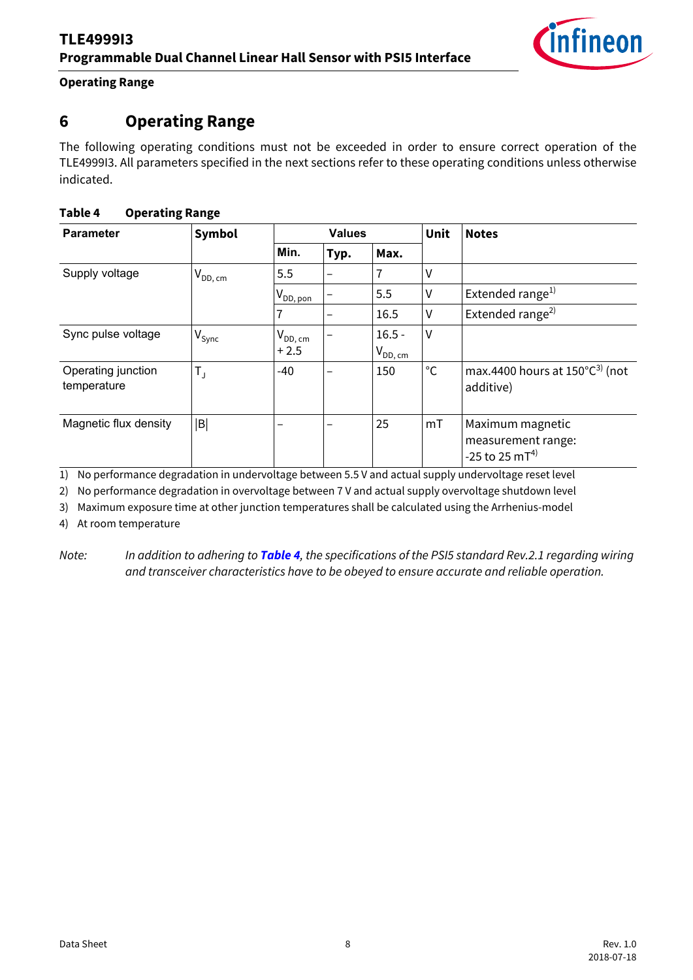**Operating Range**

### <span id="page-7-0"></span>**6 Operating Range**

The following operating conditions must not be exceeded in order to ensure correct operation of the TLE4999I3. All parameters specified in the next sections refer to these operating conditions unless otherwise indicated.

### <span id="page-7-2"></span>**Table 4 Operating Range**

| <b>Parameter</b>                  | <b>Symbol</b>     |                         | <b>Values</b> |                           | Unit         | <b>Notes</b>                                                         |  |  |
|-----------------------------------|-------------------|-------------------------|---------------|---------------------------|--------------|----------------------------------------------------------------------|--|--|
|                                   |                   | Min.                    | Typ.          | Max.                      |              |                                                                      |  |  |
| Supply voltage                    | $V_{DD,\,cm}$     | 5.5                     | -             |                           | V            |                                                                      |  |  |
|                                   |                   | $V_{DD, \, \text{pon}}$ |               | 5.5                       | V            | Extended range <sup>1)</sup>                                         |  |  |
|                                   |                   | 7                       |               | 16.5                      | v            | Extended range <sup>2)</sup>                                         |  |  |
| Sync pulse voltage                | $V_{\text{sync}}$ | $V_{DD,\,cm}$<br>$+2.5$ |               | $16.5 -$<br>$V_{DD,\,cm}$ | V            |                                                                      |  |  |
| Operating junction<br>temperature | $T_{\text{J}}$    | $-40$                   |               | 150                       | $^{\circ}$ C | max.4400 hours at $150^{\circ}C^{3}$ (not<br>additive)               |  |  |
| Magnetic flux density             | B                 | -                       |               | 25                        | mT           | Maximum magnetic<br>measurement range:<br>-25 to 25 mT <sup>4)</sup> |  |  |

1) No performance degradation in undervoltage between 5.5 V and actual supply undervoltage reset level

2) No performance degradation in overvoltage between 7 V and actual supply overvoltage shutdown level

3) Maximum exposure time at other junction temperatures shall be calculated using the Arrhenius-model

4) At room temperature

*Note: In addition to adhering to [Table 4](#page-7-2), the specifications of the PSI5 standard Rev.2.1 regarding wiring and transceiver characteristics have to be obeyed to ensure accurate and reliable operation.*

<span id="page-7-1"></span>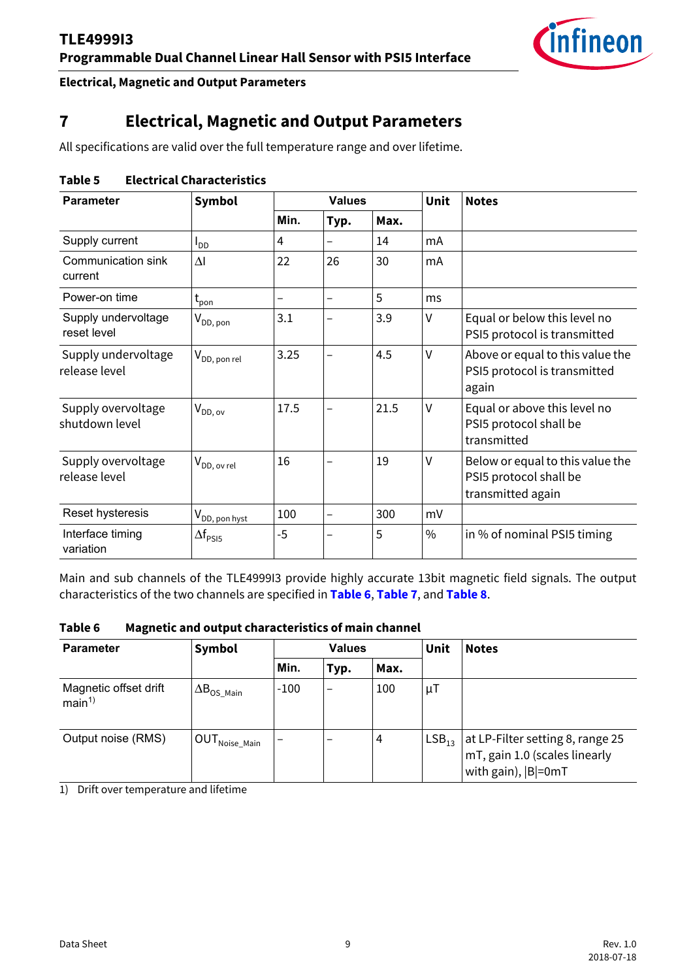

#### **Electrical, Magnetic and Output Parameters**

## <span id="page-8-0"></span>**7 Electrical, Magnetic and Output Parameters**

All specifications are valid over the full temperature range and over lifetime.

#### **Table 5 Electrical Characteristics**

| <b>Parameter</b>                     | Symbol                       |      | <b>Values</b>            |      | Unit          | <b>Notes</b>                                                                    |  |  |
|--------------------------------------|------------------------------|------|--------------------------|------|---------------|---------------------------------------------------------------------------------|--|--|
|                                      |                              | Min. | Typ.                     | Max. |               |                                                                                 |  |  |
| Supply current                       | $I_{DD}$                     | 4    |                          | 14   | mA            |                                                                                 |  |  |
| Communication sink<br>current        | $\Delta I$                   | 22   | 26                       | 30   | mA            |                                                                                 |  |  |
| Power-on time                        | $t_{\text{pon}}$             |      |                          | 5    | ms            |                                                                                 |  |  |
| Supply undervoltage<br>reset level   | $V_{DD, \, \text{pon}}$      | 3.1  |                          | 3.9  | V             | Equal or below this level no<br>PSI5 protocol is transmitted                    |  |  |
| Supply undervoltage<br>release level | $V_{DD, \, \text{pon rel}}$  | 3.25 |                          | 4.5  | $\vee$        | Above or equal to this value the<br>PSI5 protocol is transmitted<br>again       |  |  |
| Supply overvoltage<br>shutdown level | $V_{DD,ov}$                  | 17.5 |                          | 21.5 | V             | Equal or above this level no<br>PSI5 protocol shall be<br>transmitted           |  |  |
| Supply overvoltage<br>release level  | $V_{DD, \text{ ov rel}}$     | 16   |                          | 19   | $\vee$        | Below or equal to this value the<br>PSI5 protocol shall be<br>transmitted again |  |  |
| Reset hysteresis                     | $V_{DD, \, \text{pon hyst}}$ | 100  | $\overline{\phantom{0}}$ | 300  | mV            |                                                                                 |  |  |
| Interface timing<br>variation        | $\Delta f_{PSI5}$            | $-5$ |                          | 5    | $\frac{0}{0}$ | in % of nominal PSI5 timing                                                     |  |  |

Main and sub channels of the TLE4999I3 provide highly accurate 13bit magnetic field signals. The output characteristics of the two channels are specified in **[Table 6](#page-8-1)**, **[Table 7](#page-9-0)**, and **[Table 8](#page-9-1)**.

<span id="page-8-1"></span>**Table 6 Magnetic and output characteristics of main channel**

| <b>Parameter</b>                           | Symbol                      |        | <b>Values</b>            |      | Unit              | <b>Notes</b>                                                                             |  |
|--------------------------------------------|-----------------------------|--------|--------------------------|------|-------------------|------------------------------------------------------------------------------------------|--|
|                                            |                             | Min.   | Typ.                     | Max. |                   |                                                                                          |  |
| Magnetic offset drift<br>main <sup>1</sup> | $\Delta B_{OS~Main}$        | $-100$ | $\overline{\phantom{0}}$ | 100  | μT                |                                                                                          |  |
| Output noise (RMS)                         | ∣ OUT <sub>Noise_Main</sub> |        |                          | 4    | LSB <sub>13</sub> | at LP-Filter setting 8, range 25<br>mT, gain 1.0 (scales linearly<br>with gain),  B =0mT |  |

1) Drift over temperature and lifetime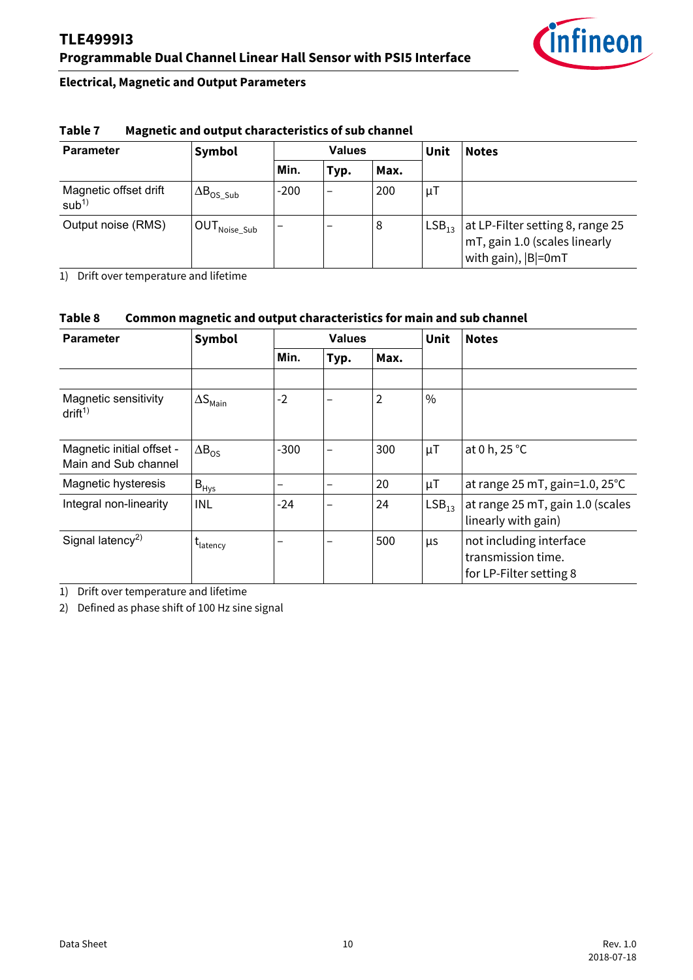

#### **Electrical, Magnetic and Output Parameters**

| <b>Parameter</b>                          | Symbol                                           | <b>Values</b> |      |      | Unit              | <b>Notes</b>                                                                             |  |  |
|-------------------------------------------|--------------------------------------------------|---------------|------|------|-------------------|------------------------------------------------------------------------------------------|--|--|
|                                           |                                                  | Min.          | Typ. | Max. |                   |                                                                                          |  |  |
| Magnetic offset drift<br>sub <sup>1</sup> | $\Delta B_{OS-Sub}$                              | $-200$        |      | 200  | μT                |                                                                                          |  |  |
| Output noise (RMS)                        | $\mathsf{I}\,\mathsf{OUT}_{\mathsf{Noise\_Sub}}$ |               |      | 8    | LSB <sub>13</sub> | at LP-Filter setting 8, range 25<br>mT, gain 1.0 (scales linearly<br>with gain),  B =0mT |  |  |

#### <span id="page-9-0"></span>**Table 7 Magnetic and output characteristics of sub channel**

1) Drift over temperature and lifetime

#### <span id="page-9-1"></span>**Table 8 Common magnetic and output characteristics for main and sub channel**

| <b>Parameter</b>                                  | Symbol                   |                 | <b>Values</b> |      | Unit              | <b>Notes</b>                                                             |
|---------------------------------------------------|--------------------------|-----------------|---------------|------|-------------------|--------------------------------------------------------------------------|
|                                                   |                          | Min.            | Typ.          | Max. |                   |                                                                          |
|                                                   |                          |                 |               |      |                   |                                                                          |
| Magnetic sensitivity<br>drift <sup>1</sup>        | $\Delta S_{\text{Main}}$ | $-2$            | -             | 2    | $\%$              |                                                                          |
| Magnetic initial offset -<br>Main and Sub channel | $\Delta B_{OS}$          | $-300$          |               | 300  | $\mu$ T           | at 0 h, 25 °C                                                            |
| Magnetic hysteresis                               | $B_{Hys}$                | $\qquad \qquad$ | -             | 20   | $\mu$ T           | at range 25 mT, gain=1.0, 25°C                                           |
| Integral non-linearity                            | <b>INL</b>               | $-24$           |               | 24   | LSB <sub>13</sub> | at range 25 mT, gain 1.0 (scales<br>linearly with gain)                  |
| Signal latency <sup>2)</sup>                      | t <sub>latency</sub>     |                 |               | 500  | μs                | not including interface<br>transmission time.<br>for LP-Filter setting 8 |

1) Drift over temperature and lifetime

2) Defined as phase shift of 100 Hz sine signal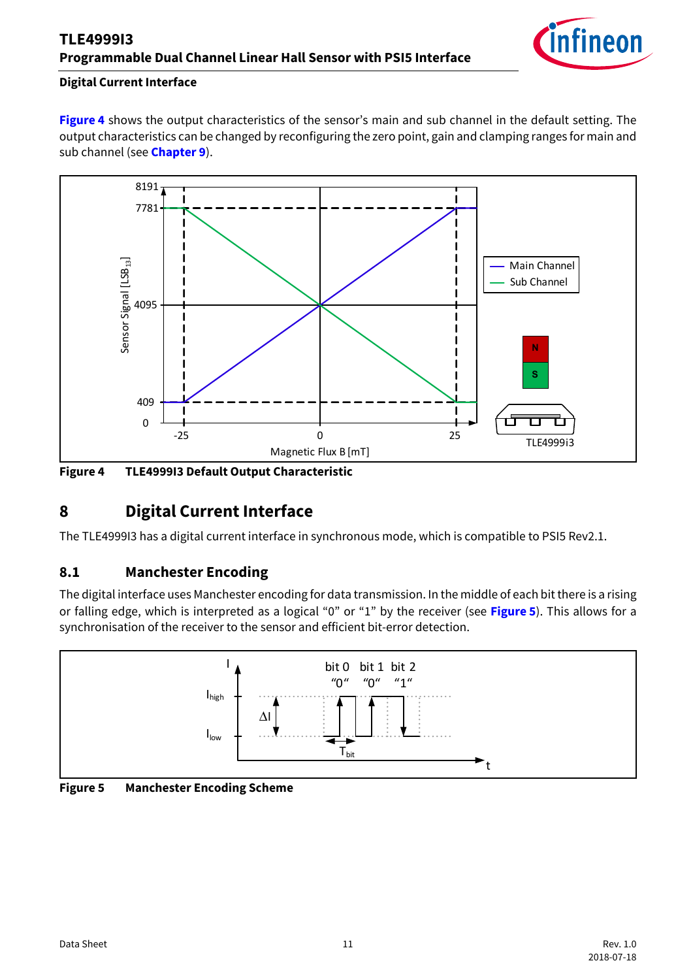

### **Digital Current Interface**

**[Figure 4](#page-10-2)** shows the output characteristics of the sensor's main and sub channel in the default setting. The output characteristics can be changed by reconfiguring the zero point, gain and clamping ranges for main and sub channel (see **[Chapter 9](#page-12-0)**).



<span id="page-10-2"></span>**Figure 4 TLE4999I3 Default Output Characteristic**

### <span id="page-10-0"></span>**8 Digital Current Interface**

The TLE4999I3 has a digital current interface in synchronous mode, which is compatible to PSI5 Rev2.1.

### <span id="page-10-1"></span>**8.1 Manchester Encoding**

The digital interface uses Manchester encoding for data transmission. In the middle of each bit there is a rising or falling edge, which is interpreted as a logical "0" or "1" by the receiver (see **[Figure 5](#page-10-3)**). This allows for a synchronisation of the receiver to the sensor and efficient bit-error detection.



<span id="page-10-3"></span>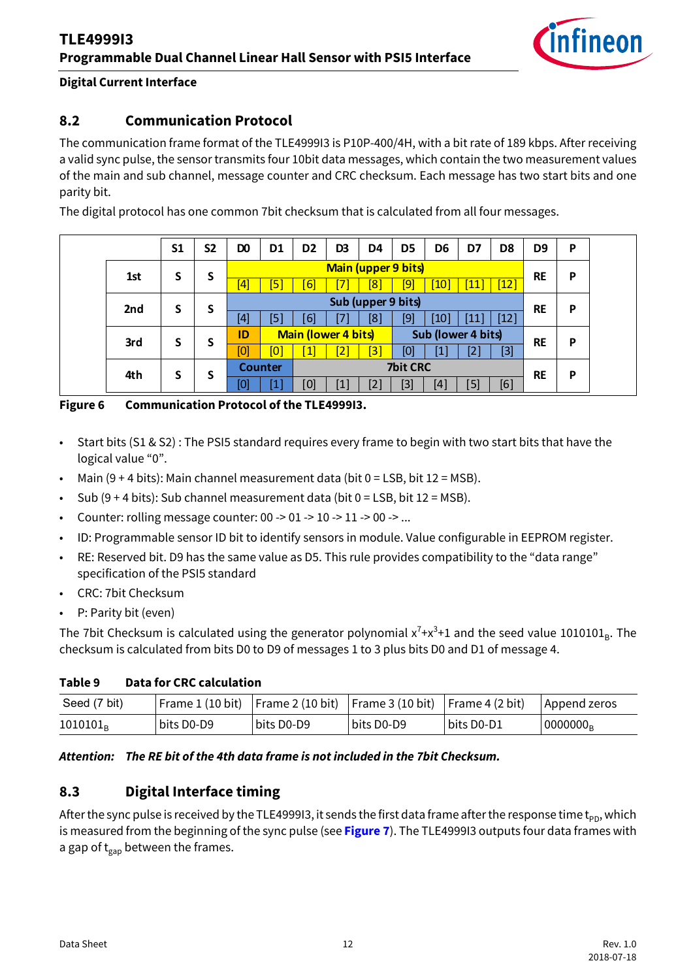

#### **Digital Current Interface**

### <span id="page-11-0"></span>**8.2 Communication Protocol**

The communication frame format of the TLE4999I3 is P10P-400/4H, with a bit rate of 189 kbps. After receiving a valid sync pulse, the sensor transmits four 10bit data messages, which contain the two measurement values of the main and sub channel, message counter and CRC checksum. Each message has two start bits and one parity bit.

The digital protocol has one common 7bit checksum that is calculated from all four messages.

|     | S <sub>1</sub> | S <sub>2</sub> | D <sub>0</sub>   | D <sub>1</sub>                                   | D <sub>2</sub> | D3               | D4                | D <sub>5</sub> | D6                 | D7          | D <sub>8</sub> | D <sub>9</sub> | P   |                    |     |       |  |  |
|-----|----------------|----------------|------------------|--------------------------------------------------|----------------|------------------|-------------------|----------------|--------------------|-------------|----------------|----------------|-----|--------------------|-----|-------|--|--|
| 1st | S              | S              |                  | <b>Main (upper 9 bits)</b>                       |                |                  |                   |                |                    |             |                | <b>RE</b>      | P   |                    |     |       |  |  |
|     |                |                | $\left[4\right]$ | [5]                                              | [6]            | [7]              | $\left[ 8\right]$ | [9]            | $\lceil 10 \rceil$ | $\sqrt{11}$ | [12]           |                |     |                    |     |       |  |  |
| 2nd | S              | S              |                  | Sub (upper 9 bits)                               |                |                  |                   |                |                    |             | <b>RE</b>      | P              |     |                    |     |       |  |  |
|     |                |                | [4]              | [5]                                              | $[6]$          | [7]              | [8]               | [9]            | $\lceil 10 \rceil$ | [11]        | [12]           |                |     |                    |     |       |  |  |
| 3rd | S              | S              | ID               | Sub (lower 4 bits)<br><b>Main (lower 4 bits)</b> |                |                  |                   |                |                    | <b>RE</b>   | P              |                |     |                    |     |       |  |  |
|     |                |                |                  |                                                  |                |                  |                   | [0]            | [0]                | 1]          | $\mathsf{[2]}$ | $\mathbf{[3]}$ | [0] | $\left[ 1 \right]$ | [2] | $[3]$ |  |  |
| 4th | S              | S              |                  | <b>7bit CRC</b><br><b>Counter</b>                |                |                  |                   |                |                    |             | <b>RE</b>      | P              |     |                    |     |       |  |  |
|     |                |                | [0]              | [1]                                              | [0]            | $\left[1\right]$ | [2]               | $[3]$          | $\left[4\right]$   | [5]         | [6]            |                |     |                    |     |       |  |  |

**Figure 6 Communication Protocol of the TLE4999I3.**

- Start bits (S1 & S2) : The PSI5 standard requires every frame to begin with two start bits that have the logical value "0".
- Main  $(9 + 4 \text{ bits})$ : Main channel measurement data (bit  $0 =$  LSB, bit  $12 =$  MSB).
- Sub  $(9 + 4 \text{ bits})$ : Sub channel measurement data (bit  $0 =$  LSB, bit  $12 =$  MSB).
- Counter: rolling message counter: 00 -> 01 -> 10 -> 11 -> 00 -> ...
- ID: Programmable sensor ID bit to identify sensors in module. Value configurable in EEPROM register.
- RE: Reserved bit. D9 has the same value as D5. This rule provides compatibility to the "data range" specification of the PSI5 standard
- CRC: 7bit Checksum
- P: Parity bit (even)

The 7bit Checksum is calculated using the generator polynomial  $x^7+x^3+1$  and the seed value 1010101<sub>B</sub>. The checksum is calculated from bits D0 to D9 of messages 1 to 3 plus bits D0 and D1 of message 4.

#### **Table 9 Data for CRC calculation**

| Seed (7 bit)  |            |            | Frame 1 (10 bit) Frame 2 (10 bit) Frame 3 (10 bit) Frame 4 (2 bit) |             | Append zeros |
|---------------|------------|------------|--------------------------------------------------------------------|-------------|--------------|
| $1010101_{R}$ | bits D0-D9 | bits D0-D9 | bits D0-D9                                                         | ∣bits D0-D1 | $10000000_R$ |

#### *Attention: The RE bit of the 4th data frame is not included in the 7bit Checksum.*

### <span id="page-11-1"></span>**8.3 Digital Interface timing**

After the sync pulse is received by the TLE4999I3, it sends the first data frame after the response time  $t_{\text{pn}}$ , which is measured from the beginning of the sync pulse (see **[Figure 7](#page-12-1)**). The TLE4999I3 outputs four data frames with a gap of  $t_{\text{gap}}$  between the frames.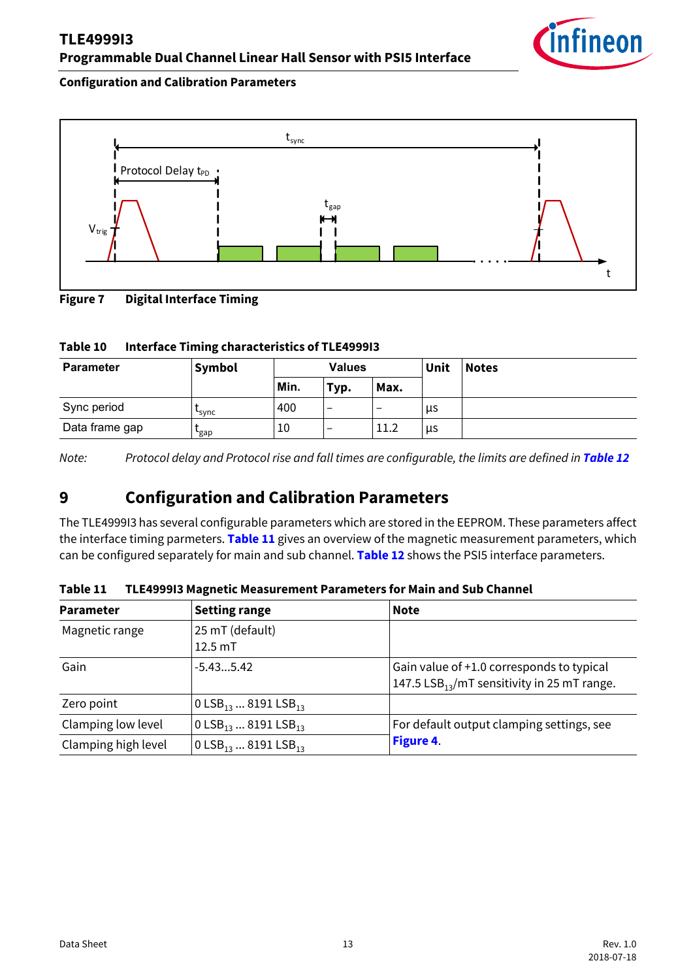### **TLE4999I3 Programmable Dual Channel Linear Hall Sensor with PSI5 Interface**



#### **Configuration and Calibration Parameters**



<span id="page-12-1"></span>**Figure 7 Digital Interface Timing**

#### **Table 10 Interface Timing characteristics of TLE4999I3**

| <b>Parameter</b> | Symbol               | <b>Values</b> |      | Unit | <b>Notes</b> |  |
|------------------|----------------------|---------------|------|------|--------------|--|
|                  |                      | Min.          | Typ. | Max. |              |  |
| Sync period      | <b>Sync</b>          | 400           | -    | -    | μs           |  |
| Data frame gap   | $\epsilon_{\rm gap}$ | 10            |      | 11.2 | μs           |  |

*Note:* Protocol delay and Protocol rise and fall times are configurable, the limits are defined in **[Table 12](#page-13-0)** 

### <span id="page-12-0"></span>**9 Configuration and Calibration Parameters**

The TLE4999I3 has several configurable parameters which are stored in the EEPROM. These parameters affect the interface timing parmeters. **[Table 11](#page-12-2)** gives an overview of the magnetic measurement parameters, which can be configured separately for main and sub channel. **[Table 12](#page-13-0)** shows the PSI5 interface parameters.

| <b>Parameter</b>                                                                                                                      | <b>Setting range</b>                       | <b>Note</b>                                             |  |  |
|---------------------------------------------------------------------------------------------------------------------------------------|--------------------------------------------|---------------------------------------------------------|--|--|
| Magnetic range                                                                                                                        | 25 mT (default)<br>$12.5 \text{ mT}$       |                                                         |  |  |
|                                                                                                                                       |                                            |                                                         |  |  |
| Gain                                                                                                                                  | $-5.435.42$                                | Gain value of +1.0 corresponds to typical               |  |  |
|                                                                                                                                       |                                            | 147.5 LSB <sub>13</sub> /mT sensitivity in 25 mT range. |  |  |
| Zero point                                                                                                                            | 0 LSB <sub>13</sub> 8191 LSB <sub>13</sub> |                                                         |  |  |
| Clamping low level<br>0 LSB <sub>13</sub> 8191 LSB <sub>13</sub><br>Clamping high level<br>0 LSB <sub>13</sub> 8191 LSB <sub>13</sub> |                                            | For default output clamping settings, see               |  |  |
|                                                                                                                                       |                                            | Figure 4.                                               |  |  |

<span id="page-12-2"></span>**Table 11 TLE4999I3 Magnetic Measurement Parameters for Main and Sub Channel**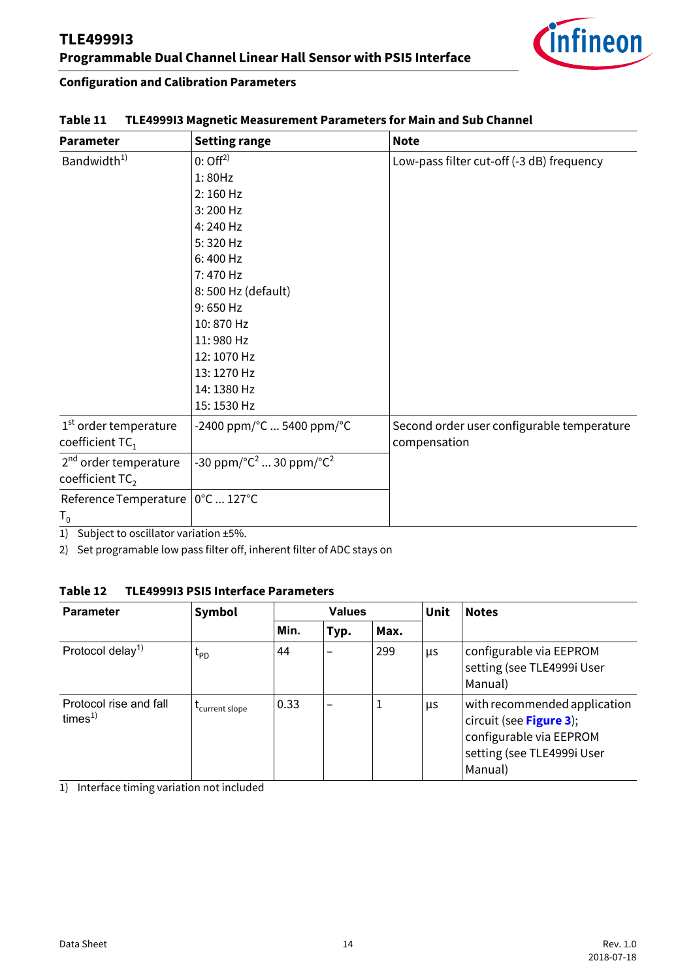

#### **Configuration and Calibration Parameters**

| <b>Parameter</b>                  | <b>Setting range</b>                                                 | <b>Note</b>                                |  |  |
|-----------------------------------|----------------------------------------------------------------------|--------------------------------------------|--|--|
| Bandwidth <sup>1)</sup>           | $0:$ Off <sup>2)</sup>                                               | Low-pass filter cut-off (-3 dB) frequency  |  |  |
|                                   | 1:80Hz                                                               |                                            |  |  |
|                                   | $2:160$ Hz                                                           |                                            |  |  |
|                                   | 3:200 Hz                                                             |                                            |  |  |
|                                   | 4:240 Hz                                                             |                                            |  |  |
|                                   | 5:320 Hz                                                             |                                            |  |  |
|                                   | 6:400 Hz                                                             |                                            |  |  |
|                                   | 7:470 Hz                                                             |                                            |  |  |
|                                   | 8: 500 Hz (default)                                                  |                                            |  |  |
|                                   | 9:650 Hz                                                             |                                            |  |  |
|                                   | 10:870 Hz                                                            |                                            |  |  |
|                                   | 11:980 Hz                                                            |                                            |  |  |
|                                   | 12:1070 Hz                                                           |                                            |  |  |
|                                   | 13:1270 Hz                                                           |                                            |  |  |
|                                   | 14:1380 Hz                                                           |                                            |  |  |
|                                   | 15:1530 Hz                                                           |                                            |  |  |
| 1 <sup>st</sup> order temperature | -2400 ppm/°C  5400 ppm/°C                                            | Second order user configurable temperature |  |  |
| coefficient TC <sub>1</sub>       |                                                                      | compensation                               |  |  |
| 2 <sup>nd</sup> order temperature | -30 ppm/ $^{\circ}$ C <sup>2</sup> 30 ppm/ $^{\circ}$ C <sup>2</sup> |                                            |  |  |
| coefficient TC <sub>2</sub>       |                                                                      |                                            |  |  |
| Reference Temperature             | 0°C  127°C                                                           |                                            |  |  |
| $\mathsf{T}_\mathsf{0}$           |                                                                      |                                            |  |  |

#### **Table 11 TLE4999I3 Magnetic Measurement Parameters for Main and Sub Channel**

1) Subject to oscillator variation ±5%.

2) Set programable low pass filter off, inherent filter of ADC stays on

#### <span id="page-13-0"></span>**Table 12 TLE4999I3 PSI5 Interface Parameters**

<span id="page-13-1"></span>

| <b>Parameter</b>                            | Symbol                       |      | <b>Values</b>   |      |    | <b>Notes</b>                                                                                                                |
|---------------------------------------------|------------------------------|------|-----------------|------|----|-----------------------------------------------------------------------------------------------------------------------------|
|                                             |                              | Min. | Typ.            | Max. |    |                                                                                                                             |
| Protocol delay <sup>1)</sup>                | $\mathfrak{r}_{\texttt{PD}}$ | 44   |                 | 299  | μs | configurable via EEPROM<br>setting (see TLE4999i User<br>Manual)                                                            |
| Protocol rise and fall<br>time <sup>1</sup> | Current slope                | 0.33 | $\qquad \qquad$ | ┸    | μs | with recommended application<br>circuit (see Figure 3);<br>configurable via EEPROM<br>setting (see TLE4999i User<br>Manual) |

1) Interface timing variation not included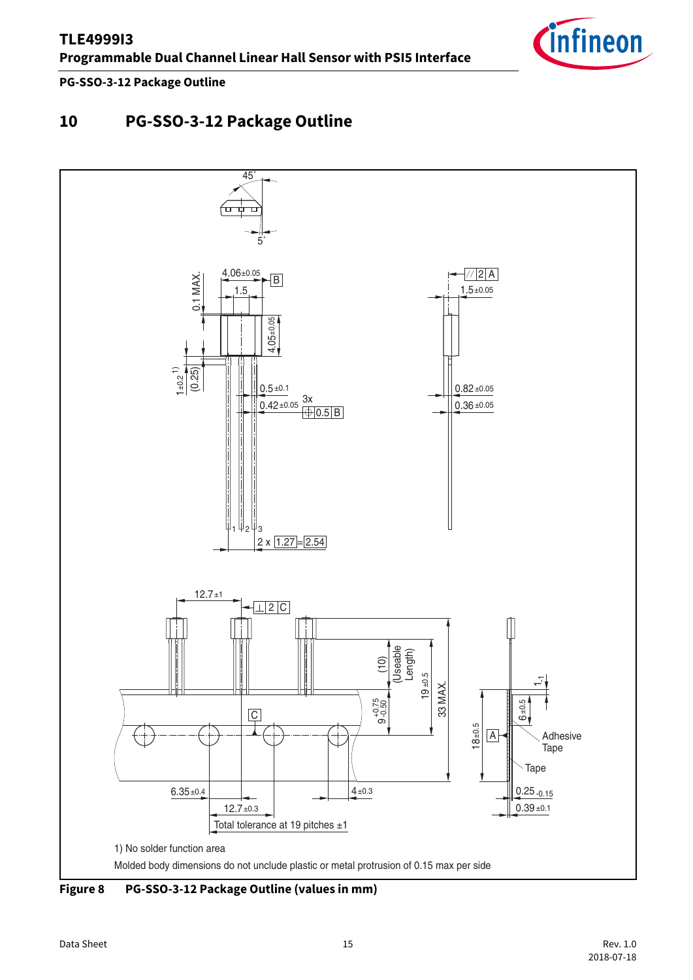

**PG-SSO-3-12 Package Outline**

## <span id="page-14-0"></span>**10 PG-SSO-3-12 Package Outline**

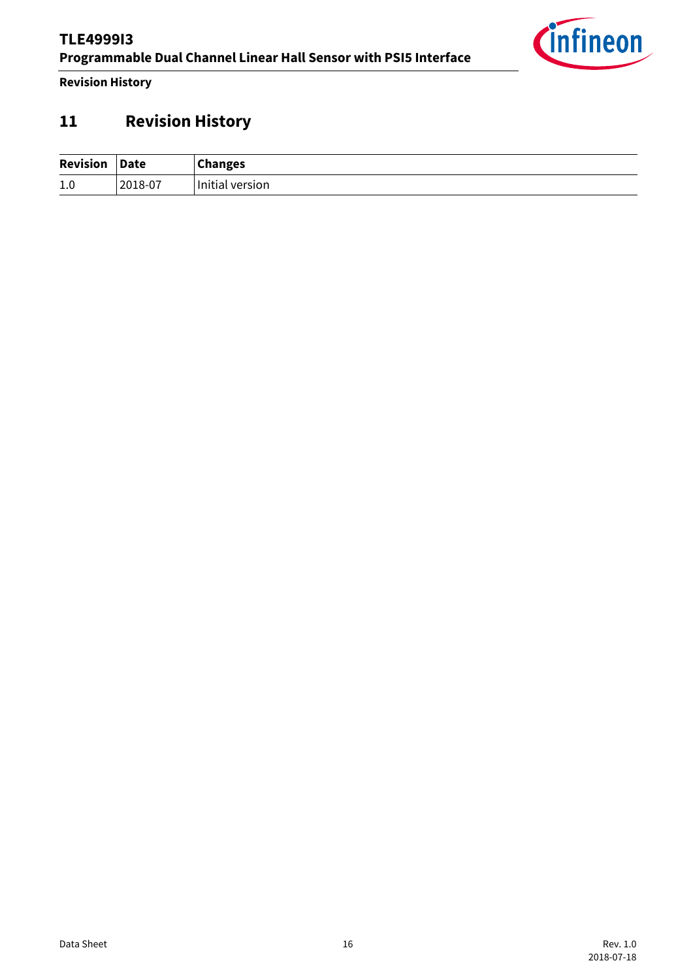

**Revision History**

## <span id="page-15-0"></span>**11 Revision History**

| <b>Revision</b> | <b>Date</b> | <b>Changes</b>       |
|-----------------|-------------|----------------------|
| 1.0             | 2018-07     | .<br>Initial version |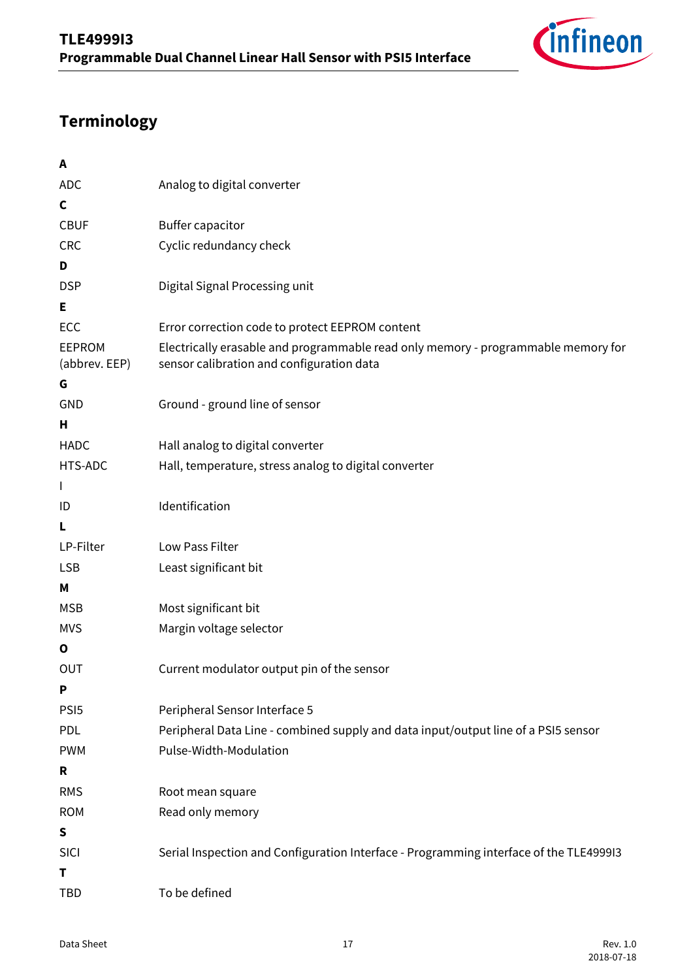

## **Terminology**

| A                              |                                                                                                                                |
|--------------------------------|--------------------------------------------------------------------------------------------------------------------------------|
| <b>ADC</b>                     | Analog to digital converter                                                                                                    |
| C                              |                                                                                                                                |
| <b>CBUF</b>                    | <b>Buffer capacitor</b>                                                                                                        |
| <b>CRC</b>                     | Cyclic redundancy check                                                                                                        |
| D                              |                                                                                                                                |
| <b>DSP</b>                     | Digital Signal Processing unit                                                                                                 |
| Е                              |                                                                                                                                |
| ECC                            | Error correction code to protect EEPROM content                                                                                |
| <b>EEPROM</b><br>(abbrev. EEP) | Electrically erasable and programmable read only memory - programmable memory for<br>sensor calibration and configuration data |
| G                              |                                                                                                                                |
| GND                            | Ground - ground line of sensor                                                                                                 |
| Н                              |                                                                                                                                |
| <b>HADC</b>                    | Hall analog to digital converter                                                                                               |
| HTS-ADC                        | Hall, temperature, stress analog to digital converter                                                                          |
| $\mathbf{I}$                   |                                                                                                                                |
| ID                             | Identification                                                                                                                 |
| L                              |                                                                                                                                |
| LP-Filter                      | Low Pass Filter                                                                                                                |
| <b>LSB</b>                     | Least significant bit                                                                                                          |
| Μ                              |                                                                                                                                |
| <b>MSB</b>                     | Most significant bit                                                                                                           |
| <b>MVS</b>                     | Margin voltage selector                                                                                                        |
| $\mathbf o$                    |                                                                                                                                |
| OUT                            | Current modulator output pin of the sensor                                                                                     |
| P                              |                                                                                                                                |
| PSI <sub>5</sub>               | Peripheral Sensor Interface 5                                                                                                  |
| PDL                            | Peripheral Data Line - combined supply and data input/output line of a PSI5 sensor                                             |
| <b>PWM</b>                     | Pulse-Width-Modulation                                                                                                         |
| R                              |                                                                                                                                |
| <b>RMS</b>                     | Root mean square                                                                                                               |
| <b>ROM</b>                     | Read only memory                                                                                                               |
| ${\sf S}$                      |                                                                                                                                |
| SICI<br>т                      | Serial Inspection and Configuration Interface - Programming interface of the TLE4999I3                                         |
| <b>TBD</b>                     | To be defined                                                                                                                  |